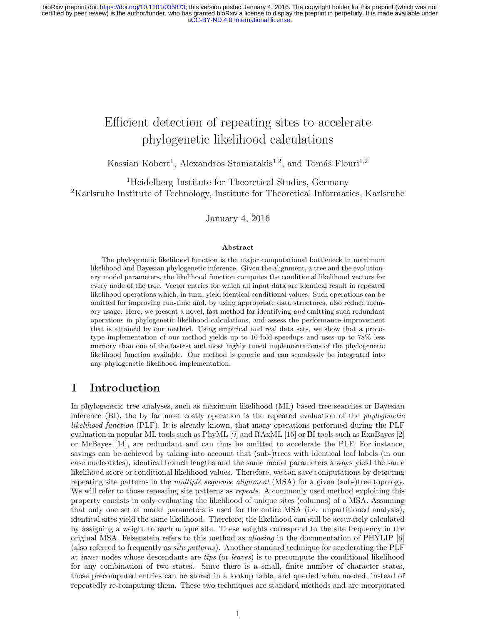# Efficient detection of repeating sites to accelerate phylogenetic likelihood calculations

Kassian Kobert<sup>1</sup>, Alexandros Stamatakis<sup>1,2</sup>, and Tomáš Flouri<sup>1,2</sup>

<sup>1</sup>Heidelberg Institute for Theoretical Studies, Germany <sup>2</sup>Karlsruhe Institute of Technology, Institute for Theoretical Informatics, Karlsruhe

January 4, 2016

#### Abstract

The phylogenetic likelihood function is the major computational bottleneck in maximum likelihood and Bayesian phylogenetic inference. Given the alignment, a tree and the evolutionary model parameters, the likelihood function computes the conditional likelihood vectors for every node of the tree. Vector entries for which all input data are identical result in repeated likelihood operations which, in turn, yield identical conditional values. Such operations can be omitted for improving run-time and, by using appropriate data structures, also reduce memory usage. Here, we present a novel, fast method for identifying and omitting such redundant operations in phylogenetic likelihood calculations, and assess the performance improvement that is attained by our method. Using empirical and real data sets, we show that a prototype implementation of our method yields up to 10-fold speedups and uses up to 78% less memory than one of the fastest and most highly tuned implementations of the phylogenetic likelihood function available. Our method is generic and can seamlessly be integrated into any phylogenetic likelihood implementation.

# 1 Introduction

In phylogenetic tree analyses, such as maximum likelihood (ML) based tree searches or Bayesian inference (BI), the by far most costly operation is the repeated evaluation of the *phylogenetic* likelihood function (PLF). It is already known, that many operations performed during the PLF evaluation in popular ML tools such as PhyML [9] and RAxML [15] or BI tools such as ExaBayes [2] or MrBayes [14], are redundant and can thus be omitted to accelerate the PLF. For instance, savings can be achieved by taking into account that (sub-)trees with identical leaf labels (in our case nucleotides), identical branch lengths and the same model parameters always yield the same likelihood score or conditional likelihood values. Therefore, we can save computations by detecting repeating site patterns in the *multiple sequence alignment* (MSA) for a given (sub-)tree topology. We will refer to those repeating site patterns as *repeats*. A commonly used method exploiting this property consists in only evaluating the likelihood of unique sites (columns) of a MSA. Assuming that only one set of model parameters is used for the entire MSA (i.e. unpartitioned analysis), identical sites yield the same likelihood. Therefore, the likelihood can still be accurately calculated by assigning a weight to each unique site. These weights correspond to the site frequency in the original MSA. Felsenstein refers to this method as *aliasing* in the documentation of PHYLIP [6] (also referred to frequently as site patterns). Another standard technique for accelerating the PLF at inner nodes whose descendants are tips (or leaves) is to precompute the conditional likelihood for any combination of two states. Since there is a small, finite number of character states, those precomputed entries can be stored in a lookup table, and queried when needed, instead of repeatedly re-computing them. These two techniques are standard methods and are incorporated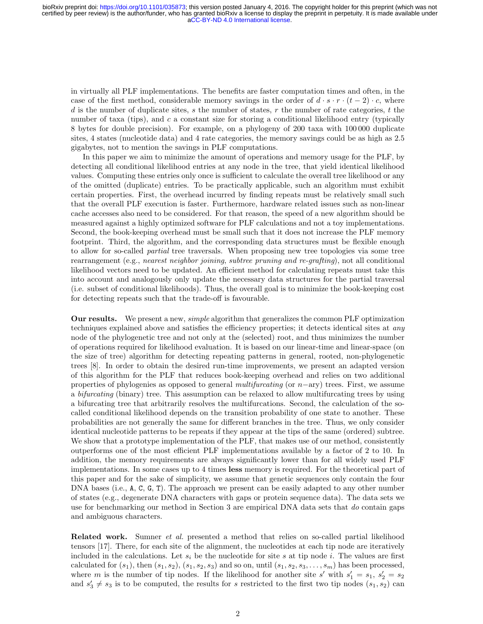in virtually all PLF implementations. The benefits are faster computation times and often, in the case of the first method, considerable memory savings in the order of  $d \cdot s \cdot r \cdot (t-2) \cdot c$ , where d is the number of duplicate sites, s the number of states, r the number of rate categories, t the number of taxa (tips), and  $c$  a constant size for storing a conditional likelihood entry (typically 8 bytes for double precision). For example, on a phylogeny of 200 taxa with 100 000 duplicate sites, 4 states (nucleotide data) and 4 rate categories, the memory savings could be as high as 2.5 gigabytes, not to mention the savings in PLF computations.

In this paper we aim to minimize the amount of operations and memory usage for the PLF, by detecting all conditional likelihood entries at any node in the tree, that yield identical likelihood values. Computing these entries only once is sufficient to calculate the overall tree likelihood or any of the omitted (duplicate) entries. To be practically applicable, such an algorithm must exhibit certain properties. First, the overhead incurred by finding repeats must be relatively small such that the overall PLF execution is faster. Furthermore, hardware related issues such as non-linear cache accesses also need to be considered. For that reason, the speed of a new algorithm should be measured against a highly optimized software for PLF calculations and not a toy implementations. Second, the book-keeping overhead must be small such that it does not increase the PLF memory footprint. Third, the algorithm, and the corresponding data structures must be flexible enough to allow for so-called *partial* tree traversals. When proposing new tree topologies via some tree rearrangement (e.g., nearest neighbor joining, subtree pruning and re-grafting), not all conditional likelihood vectors need to be updated. An efficient method for calculating repeats must take this into account and analogously only update the necessary data structures for the partial traversal (i.e. subset of conditional likelihoods). Thus, the overall goal is to minimize the book-keeping cost for detecting repeats such that the trade-off is favourable.

Our results. We present a new, simple algorithm that generalizes the common PLF optimization techniques explained above and satisfies the efficiency properties; it detects identical sites at any node of the phylogenetic tree and not only at the (selected) root, and thus minimizes the number of operations required for likelihood evaluation. It is based on our linear-time and linear-space (on the size of tree) algorithm for detecting repeating patterns in general, rooted, non-phylogenetic trees [8]. In order to obtain the desired run-time improvements, we present an adapted version of this algorithm for the PLF that reduces book-keeping overhead and relies on two additional properties of phylogenies as opposed to general multifurcating (or  $n$ -ary) trees. First, we assume a *bifurcating* (binary) tree. This assumption can be relaxed to allow multifurcating trees by using a bifurcating tree that arbitrarily resolves the multifurcations. Second, the calculation of the socalled conditional likelihood depends on the transition probability of one state to another. These probabilities are not generally the same for different branches in the tree. Thus, we only consider identical nucleotide patterns to be repeats if they appear at the tips of the same (ordered) subtree. We show that a prototype implementation of the PLF, that makes use of our method, consistently outperforms one of the most efficient PLF implementations available by a factor of 2 to 10. In addition, the memory requirements are always significantly lower than for all widely used PLF implementations. In some cases up to 4 times less memory is required. For the theoretical part of this paper and for the sake of simplicity, we assume that genetic sequences only contain the four DNA bases (i.e., A, C, G, T). The approach we present can be easily adapted to any other number of states (e.g., degenerate DNA characters with gaps or protein sequence data). The data sets we use for benchmarking our method in Section 3 are empirical DNA data sets that do contain gaps and ambiguous characters.

Related work. Sumner *et al.* presented a method that relies on so-called partial likelihood tensors [17]. There, for each site of the alignment, the nucleotides at each tip node are iteratively included in the calculations. Let  $s_i$  be the nucleotide for site s at tip node i. The values are first calculated for  $(s_1)$ , then  $(s_1, s_2)$ ,  $(s_1, s_2, s_3)$  and so on, until  $(s_1, s_2, s_3, \ldots, s_m)$  has been processed, where m is the number of tip nodes. If the likelihood for another site s' with  $s_1' = s_1$ ,  $s_2' = s_2$ and  $s'_3 \neq s_3$  is to be computed, the results for s restricted to the first two tip nodes  $(s_1, s_2)$  can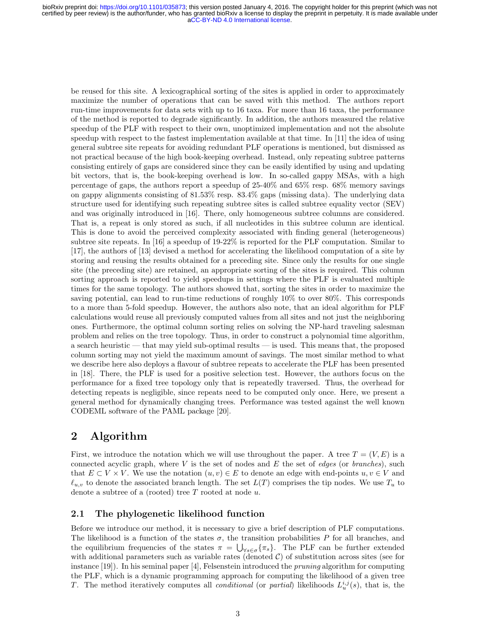be reused for this site. A lexicographical sorting of the sites is applied in order to approximately maximize the number of operations that can be saved with this method. The authors report run-time improvements for data sets with up to 16 taxa. For more than 16 taxa, the performance of the method is reported to degrade significantly. In addition, the authors measured the relative speedup of the PLF with respect to their own, unoptimized implementation and not the absolute speedup with respect to the fastest implementation available at that time. In [11] the idea of using general subtree site repeats for avoiding redundant PLF operations is mentioned, but dismissed as not practical because of the high book-keeping overhead. Instead, only repeating subtree patterns consisting entirely of gaps are considered since they can be easily identified by using and updating bit vectors, that is, the book-keeping overhead is low. In so-called gappy MSAs, with a high percentage of gaps, the authors report a speedup of 25-40% and 65% resp. 68% memory savings on gappy alignments consisting of 81.53% resp. 83.4% gaps (missing data). The underlying data structure used for identifying such repeating subtree sites is called subtree equality vector (SEV) and was originally introduced in [16]. There, only homogeneous subtree columns are considered. That is, a repeat is only stored as such, if all nucleotides in this subtree column are identical. This is done to avoid the perceived complexity associated with finding general (heterogeneous) subtree site repeats. In [16] a speedup of 19-22% is reported for the PLF computation. Similar to [17], the authors of [13] devised a method for accelerating the likelihood computation of a site by storing and reusing the results obtained for a preceding site. Since only the results for one single site (the preceding site) are retained, an appropriate sorting of the sites is required. This column sorting approach is reported to yield speedups in settings where the PLF is evaluated multiple times for the same topology. The authors showed that, sorting the sites in order to maximize the saving potential, can lead to run-time reductions of roughly 10% to over 80%. This corresponds to a more than 5-fold speedup. However, the authors also note, that an ideal algorithm for PLF calculations would reuse all previously computed values from all sites and not just the neighboring ones. Furthermore, the optimal column sorting relies on solving the NP-hard traveling salesman problem and relies on the tree topology. Thus, in order to construct a polynomial time algorithm, a search heuristic — that may yield sub-optimal results — is used. This means that, the proposed column sorting may not yield the maximum amount of savings. The most similar method to what we describe here also deploys a flavour of subtree repeats to accelerate the PLF has been presented in [18]. There, the PLF is used for a positive selection test. However, the authors focus on the performance for a fixed tree topology only that is repeatedly traversed. Thus, the overhead for detecting repeats is negligible, since repeats need to be computed only once. Here, we present a general method for dynamically changing trees. Performance was tested against the well known CODEML software of the PAML package [20].

# 2 Algorithm

First, we introduce the notation which we will use throughout the paper. A tree  $T = (V, E)$  is a connected acyclic graph, where  $V$  is the set of nodes and  $E$  the set of *edges* (or *branches*), such that  $E \subset V \times V$ . We use the notation  $(u, v) \in E$  to denote an edge with end-points  $u, v \in V$  and  $\ell_{u,v}$  to denote the associated branch length. The set  $L(T)$  comprises the tip nodes. We use  $T_u$  to denote a subtree of a (rooted) tree  $T$  rooted at node  $u$ .

### 2.1 The phylogenetic likelihood function

Before we introduce our method, it is necessary to give a brief description of PLF computations. The likelihood is a function of the states  $\sigma$ , the transition probabilities P for all branches, and the equilibrium frequencies of the states  $\pi = \bigcup_{\forall s \in \sigma} {\{\pi_s\}}$ . The PLF can be further extended with additional parameters such as variable rates (denoted  $C$ ) of substitution across sites (see for instance  $[19]$ . In his seminal paper  $[4]$ , Felsenstein introduced the *pruning* algorithm for computing the PLF, which is a dynamic programming approach for computing the likelihood of a given tree T. The method iteratively computes all *conditional* (or *partial*) likelihoods  $L_u^{i,j}(s)$ , that is, the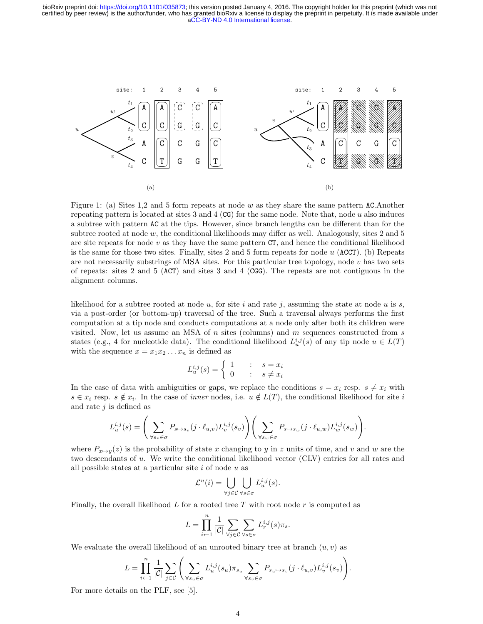

Figure 1: (a) Sites 1,2 and 5 form repeats at node w as they share the same pattern AC. Another repeating pattern is located at sites 3 and 4 ( $\text{CG}$ ) for the same node. Note that, node u also induces a subtree with pattern AC at the tips. However, since branch lengths can be different than for the subtree rooted at node  $w$ , the conditional likelihoods may differ as well. Analogously, sites 2 and 5 are site repeats for node  $v$  as they have the same pattern  $CT$ , and hence the conditional likelihood is the same for those two sites. Finally, sites 2 and 5 form repeats for node  $u$  (ACCT). (b) Repeats are not necessarily substrings of MSA sites. For this particular tree topology, node  $v$  has two sets of repeats: sites 2 and 5 (ACT) and sites 3 and 4 (CGG). The repeats are not contiguous in the alignment columns.

likelihood for a subtree rooted at node  $u$ , for site i and rate j, assuming the state at node  $u$  is  $s$ , via a post-order (or bottom-up) traversal of the tree. Such a traversal always performs the first computation at a tip node and conducts computations at a node only after both its children were visited. Now, let us assume an MSA of  $n$  sites (columns) and  $m$  sequences constructed from  $s$ states (e.g., 4 for nucleotide data). The conditional likelihood  $L_u^{i,j}(s)$  of any tip node  $u \in L(T)$ with the sequence  $x = x_1 x_2 \dots x_n$  is defined as

$$
L_u^{i,j}(s) = \begin{cases} 1 & \text{if } s = x_i \\ 0 & \text{if } s \neq x_i \end{cases}
$$

In the case of data with ambiguities or gaps, we replace the conditions  $s = x_i$  resp.  $s \neq x_i$  with  $s \in x_i$  resp.  $s \notin x_i$ . In the case of *inner* nodes, i.e.  $u \notin L(T)$ , the conditional likelihood for site i and rate  $j$  is defined as

$$
L_u^{i,j}(s) = \left(\sum_{\forall s_v \in \sigma} P_{s \mapsto s_v}(j \cdot \ell_{u,v}) L_v^{i,j}(s_v)\right) \left(\sum_{\forall s_w \in \sigma} P_{s \mapsto s_w}(j \cdot \ell_{u,w}) L_w^{i,j}(s_w)\right).
$$

where  $P_{x\mapsto y}(z)$  is the probability of state x changing to y in z units of time, and v and w are the two descendants of u. We write the conditional likelihood vector (CLV) entries for all rates and all possible states at a particular site  $i$  of node  $u$  as

$$
\mathcal{L}^u(i) = \bigcup_{\forall j \in \mathcal{C}} \bigcup_{\forall s \in \sigma} L^{i,j}_u(s).
$$

Finally, the overall likelihood  $L$  for a rooted tree T with root node r is computed as

$$
L = \prod_{i \leftarrow 1}^n \frac{1}{|\mathcal{C}|} \sum_{\forall j \in \mathcal{C}} \sum_{\forall s \in \sigma} L_r^{i,j}(s) \pi_s.
$$

We evaluate the overall likelihood of an unrooted binary tree at branch  $(u, v)$  as

$$
L = \prod_{i \leftarrow 1}^{n} \frac{1}{|\mathcal{C}|} \sum_{j \in \mathcal{C}} \left( \sum_{\forall s_u \in \sigma} L_u^{i,j}(s_u) \pi_{s_u} \sum_{\forall s_v \in \sigma} P_{s_u \mapsto s_v}(j \cdot \ell_{u,v}) L_v^{i,j}(s_v) \right).
$$

For more details on the PLF, see [5].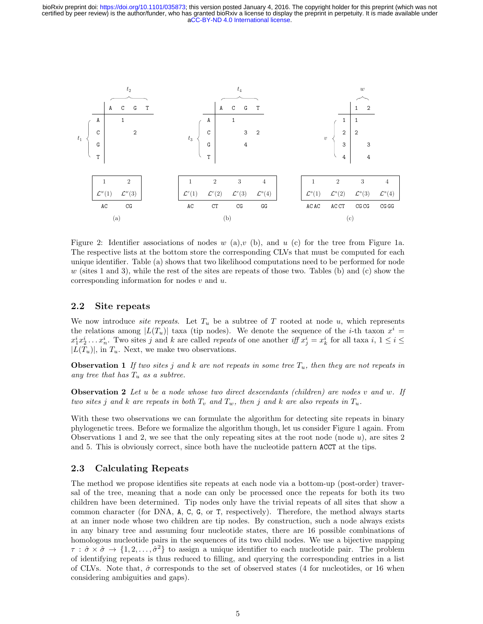

Figure 2: Identifier associations of nodes w (a), v(b), and u (c) for the tree from Figure 1a. The respective lists at the bottom store the corresponding CLVs that must be computed for each unique identifier. Table (a) shows that two likelihood computations need to be performed for node  $w$  (sites 1 and 3), while the rest of the sites are repeats of those two. Tables (b) and (c) show the corresponding information for nodes  $v$  and  $u$ .

### 2.2 Site repeats

We now introduce *site repeats*. Let  $T_u$  be a subtree of T rooted at node u, which represents the relations among  $|L(T_u)|$  taxa (tip nodes). We denote the sequence of the *i*-th taxon  $x^i$  $x_1^i x_2^i \dots x_n^i$ . Two sites j and k are called repeats of one another iff  $x_j^i = x_k^i$  for all taxa  $i, 1 \le i \le n$  $|L(T_u)|$ , in  $T_u$ . Next, we make two observations.

**Observation 1** If two sites j and k are not repeats in some tree  $T_u$ , then they are not repeats in any tree that has  $T_u$  as a subtree.

**Observation 2** Let u be a node whose two direct descendants (children) are nodes v and w. If two sites j and k are repeats in both  $T_v$  and  $T_w$ , then j and k are also repeats in  $T_u$ .

With these two observations we can formulate the algorithm for detecting site repeats in binary phylogenetic trees. Before we formalize the algorithm though, let us consider Figure 1 again. From Observations 1 and 2, we see that the only repeating sites at the root node (node  $u$ ), are sites 2 and 5. This is obviously correct, since both have the nucleotide pattern ACCT at the tips.

### 2.3 Calculating Repeats

The method we propose identifies site repeats at each node via a bottom-up (post-order) traversal of the tree, meaning that a node can only be processed once the repeats for both its two children have been determined. Tip nodes only have the trivial repeats of all sites that show a common character (for DNA, A, C, G, or T, respectively). Therefore, the method always starts at an inner node whose two children are tip nodes. By construction, such a node always exists in any binary tree and assuming four nucleotide states, there are 16 possible combinations of homologous nucleotide pairs in the sequences of its two child nodes. We use a bijective mapping  $\tau : \hat{\sigma} \times \hat{\sigma} \to \{1, 2, \ldots, \hat{\sigma}^2\}$  to assign a unique identifier to each nucleotide pair. The problem of identifying repeats is thus reduced to filling, and querying the corresponding entries in a list of CLVs. Note that,  $\hat{\sigma}$  corresponds to the set of observed states (4 for nucleotides, or 16 when considering ambiguities and gaps).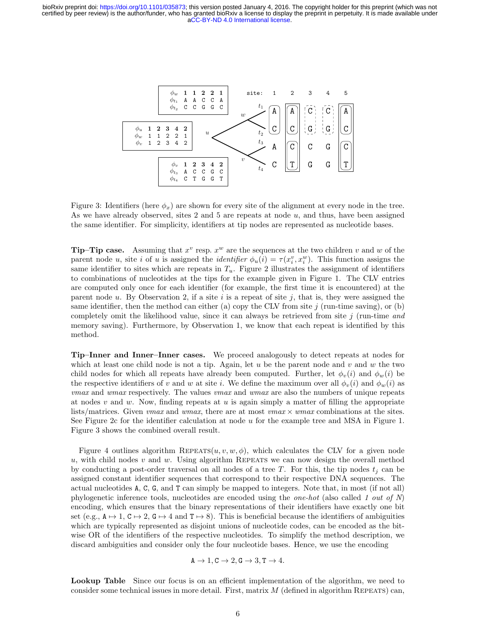

Figure 3: Identifiers (here  $\phi_x$ ) are shown for every site of the alignment at every node in the tree. As we have already observed, sites 2 and 5 are repeats at node  $u$ , and thus, have been assigned the same identifier. For simplicity, identifiers at tip nodes are represented as nucleotide bases.

**Tip–Tip case.** Assuming that  $x^v$  resp.  $x^w$  are the sequences at the two children v and w of the parent node u, site i of u is assigned the *identifier*  $\phi_u(i) = \tau(x_i^v, x_i^w)$ . This function assigns the same identifier to sites which are repeats in  $T_u$ . Figure 2 illustrates the assignment of identifiers to combinations of nucleotides at the tips for the example given in Figure 1. The CLV entries are computed only once for each identifier (for example, the first time it is encountered) at the parent node u. By Observation 2, if a site i is a repeat of site j, that is, they were assigned the same identifier, then the method can either (a) copy the CLV from site  $j$  (run-time saving), or (b) completely omit the likelihood value, since it can always be retrieved from site  $j$  (run-time and memory saving). Furthermore, by Observation 1, we know that each repeat is identified by this method.

Tip–Inner and Inner–Inner cases. We proceed analogously to detect repeats at nodes for which at least one child node is not a tip. Again, let  $u$  be the parent node and  $v$  and  $w$  the two child nodes for which all repeats have already been computed. Further, let  $\phi_n(i)$  and  $\phi_m(i)$  be the respective identifiers of v and w at site i. We define the maximum over all  $\phi_v(i)$  and  $\phi_w(i)$  as vmax and wmax respectively. The values vmax and wmax are also the numbers of unique repeats at nodes  $v$  and  $w$ . Now, finding repeats at  $u$  is again simply a matter of filling the appropriate lists/matrices. Given *vmax* and *wmax*, there are at most *vmax* × *wmax* combinations at the sites. See Figure 2c for the identifier calculation at node  $u$  for the example tree and MSA in Figure 1. Figure 3 shows the combined overall result.

Figure 4 outlines algorithm REPEATS $(u, v, w, \phi)$ , which calculates the CLV for a given node  $u$ , with child nodes  $v$  and  $w$ . Using algorithm REPEATS we can now design the overall method by conducting a post-order traversal on all nodes of a tree T. For this, the tip nodes  $t_i$  can be assigned constant identifier sequences that correspond to their respective DNA sequences. The actual nucleotides A, C, G, and T can simply be mapped to integers. Note that, in most (if not all) phylogenetic inference tools, nucleotides are encoded using the *one-hot* (also called 1 *out of N*) encoding, which ensures that the binary representations of their identifiers have exactly one bit set (e.g.,  $A \mapsto 1$ ,  $C \mapsto 2$ ,  $G \mapsto 4$  and  $T \mapsto 8$ ). This is beneficial because the identifiers of ambiguities which are typically represented as disjoint unions of nucleotide codes, can be encoded as the bitwise OR of the identifiers of the respective nucleotides. To simplify the method description, we discard ambiguities and consider only the four nucleotide bases. Hence, we use the encoding

$$
A \to 1, C \to 2, G \to 3, T \to 4.
$$

Lookup Table Since our focus is on an efficient implementation of the algorithm, we need to consider some technical issues in more detail. First, matrix  $M$  (defined in algorithm REPEATS) can,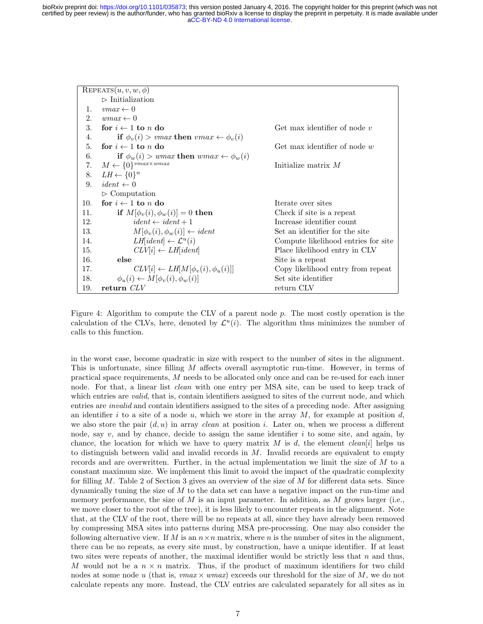|                | REPEATS $(u, v, w, \phi)$                                            |                                     |
|----------------|----------------------------------------------------------------------|-------------------------------------|
|                | $\triangleright$ Initialization                                      |                                     |
| 1.             | $vmax \leftarrow 0$                                                  |                                     |
| 2.             | $wmax \leftarrow 0$                                                  |                                     |
| 3.             | for $i \leftarrow 1$ to n do                                         | Get max identifier of node $v$      |
| 4.             | if $\phi_v(i) > \text{vmax}$ then $\text{vmax} \leftarrow \phi_v(i)$ |                                     |
| 5.             | for $i \leftarrow 1$ to n do                                         | Get max identifier of node $w$      |
| 6.             | if $\phi_w(i) > \text{wmax}$ then $\text{wmax} \leftarrow \phi_w(i)$ |                                     |
| 7.             | $M \leftarrow \{0\}^{vmax \times wmax}$                              | Initialize matrix $M$               |
| 8.             | $LH \leftarrow \{0\}^n$                                              |                                     |
| 9 <sub>1</sub> | $ident \leftarrow 0$                                                 |                                     |
|                | $\triangleright$ Computation                                         |                                     |
| 10.            | for $i \leftarrow 1$ to n do                                         | Iterate over sites                  |
| 11.            | if $M[\phi_v(i), \phi_w(i)] = 0$ then                                | Check if site is a repeat           |
| 12.            | $ident \leftarrow ident + 1$                                         | Increase identifier count           |
| 13.            | $M[\phi_v(i), \phi_w(i)] \leftarrow ident$                           | Set an identifier for the site      |
| 14.            | $LH$ [ <i>ident</i> ] $\leftarrow$ $\mathcal{L}^u(i)$                | Compute likelihood entries for site |
| 15.            | $CLV[i] \leftarrow LH[ident]$                                        | Place likelihood entry in CLV       |
| 16.            | else                                                                 | Site is a repeat                    |
| 17.            | $CLV[i] \leftarrow LH[M[\phi_v(i), \phi_u(i)]$                       | Copy likelihood entry from repeat   |
| 18.            | $\phi_u(i) \leftarrow M[\phi_v(i), \phi_w(i)]$                       | Set site identifier                 |
| 19.            | return CLV                                                           | return CLV                          |

Figure 4: Algorithm to compute the CLV of a parent node p. The most costly operation is the calculation of the CLVs, here, denoted by  $\mathcal{L}^u(i)$ . The algorithm thus minimizes the number of calls to this function.

in the worst case, become quadratic in size with respect to the number of sites in the alignment. This is unfortunate, since filling M affects overall asymptotic run-time. However, in terms of practical space requirements, M needs to be allocated only once and can be re-used for each inner node. For that, a linear list *clean* with one entry per MSA site, can be used to keep track of which entries are *valid*, that is, contain identifiers assigned to sites of the current node, and which entries are invalid and contain identifiers assigned to the sites of a preceding node. After assigning an identifier i to a site of a node u, which we store in the array  $M$ , for example at position d, we also store the pair  $(d, u)$  in array *clean* at position i. Later on, when we process a different node, say  $v$ , and by chance, decide to assign the same identifier  $i$  to some site, and again, by chance, the location for which we have to query matrix M is d, the element clean[i] helps us to distinguish between valid and invalid records in  $M$ . Invalid records are equivalent to empty records and are overwritten. Further, in the actual implementation we limit the size of M to a constant maximum size. We implement this limit to avoid the impact of the quadratic complexity for filling  $M$ . Table 2 of Section 3 gives an overview of the size of  $M$  for different data sets. Since dynamically tuning the size of M to the data set can have a negative impact on the run-time and memory performance, the size of  $M$  is an input parameter. In addition, as  $M$  grows larger (i.e., we move closer to the root of the tree), it is less likely to encounter repeats in the alignment. Note that, at the CLV of the root, there will be no repeats at all, since they have already been removed by compressing MSA sites into patterns during MSA pre-processing. One may also consider the following alternative view. If M is an  $n \times n$  matrix, where n is the number of sites in the alignment, there can be no repeats, as every site must, by construction, have a unique identifier. If at least two sites were repeats of another, the maximal identifier would be strictly less that  $n$  and thus, M would not be a  $n \times n$  matrix. Thus, if the product of maximum identifiers for two child nodes at some node u (that is,  $vmax \times wmax$ ) exceeds our threshold for the size of M, we do not calculate repeats any more. Instead, the CLV entries are calculated separately for all sites as in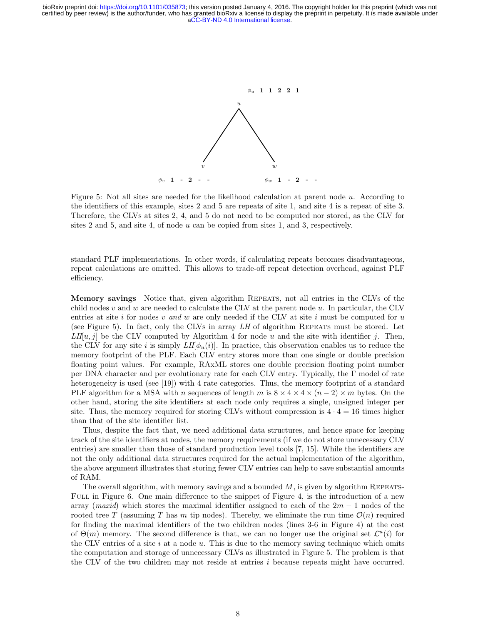

Figure 5: Not all sites are needed for the likelihood calculation at parent node u. According to the identifiers of this example, sites 2 and 5 are repeats of site 1, and site 4 is a repeat of site 3. Therefore, the CLVs at sites 2, 4, and 5 do not need to be computed nor stored, as the CLV for sites 2 and 5, and site 4, of node  $u$  can be copied from sites 1, and 3, respectively.

standard PLF implementations. In other words, if calculating repeats becomes disadvantageous, repeat calculations are omitted. This allows to trade-off repeat detection overhead, against PLF efficiency.

Memory savings Notice that, given algorithm REPEATS, not all entries in the CLVs of the child nodes v and w are needed to calculate the CLV at the parent node  $u$ . In particular, the CLV entries at site i for nodes v and w are only needed if the CLV at site i must be computed for  $u$ (see Figure 5). In fact, only the CLVs in array  $LH$  of algorithm REPEATS must be stored. Let  $LH[u, j]$  be the CLV computed by Algorithm 4 for node u and the site with identifier j. Then, the CLV for any site i is simply  $LH[\phi_u(i)]$ . In practice, this observation enables us to reduce the memory footprint of the PLF. Each CLV entry stores more than one single or double precision floating point values. For example, RAxML stores one double precision floating point number per DNA character and per evolutionary rate for each CLV entry. Typically, the Γ model of rate heterogeneity is used (see [19]) with 4 rate categories. Thus, the memory footprint of a standard PLF algorithm for a MSA with n sequences of length m is  $8 \times 4 \times 4 \times (n-2) \times m$  bytes. On the other hand, storing the site identifiers at each node only requires a single, unsigned integer per site. Thus, the memory required for storing CLVs without compression is  $4 \cdot 4 = 16$  times higher than that of the site identifier list.

Thus, despite the fact that, we need additional data structures, and hence space for keeping track of the site identifiers at nodes, the memory requirements (if we do not store unnecessary CLV entries) are smaller than those of standard production level tools [7, 15]. While the identifiers are not the only additional data structures required for the actual implementation of the algorithm, the above argument illustrates that storing fewer CLV entries can help to save substantial amounts of RAM.

The overall algorithm, with memory savings and a bounded  $M$ , is given by algorithm REPEATS-FULL in Figure 6. One main difference to the snippet of Figure 4, is the introduction of a new array (maxid) which stores the maximal identifier assigned to each of the  $2m - 1$  nodes of the rooted tree T (assuming T has m tip nodes). Thereby, we eliminate the run time  $\mathcal{O}(n)$  required for finding the maximal identifiers of the two children nodes (lines 3-6 in Figure 4) at the cost of  $\Theta(m)$  memory. The second difference is that, we can no longer use the original set  $\mathcal{L}^u(i)$  for the CLV entries of a site  $i$  at a node  $u$ . This is due to the memory saving technique which omits the computation and storage of unnecessary CLVs as illustrated in Figure 5. The problem is that the CLV of the two children may not reside at entries  $i$  because repeats might have occurred.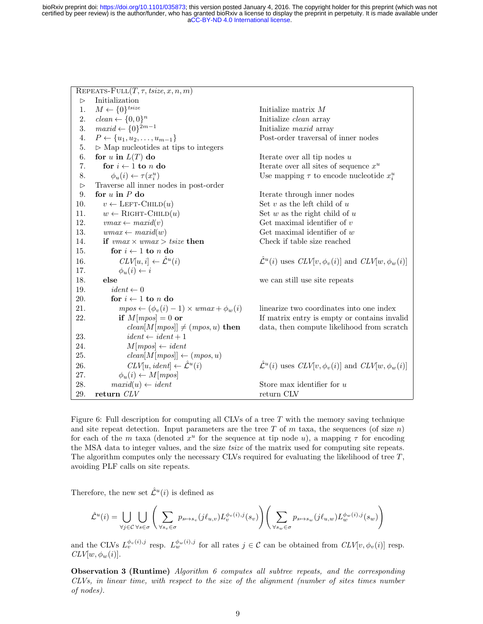$REPEATS-FULL(T, \tau, tsize, x, n, m)$  $\triangleright$  Initialization 1.  $M \leftarrow \{0\}^{tsize}$ Initialize matrix  $M$ 2.  $clean \leftarrow \{0, 0\}^n$ Initialize *clean* array 3.  $maxid \leftarrow \{0\}^{2m-1}$ Initialize maxid array 4.  $P \leftarrow \{u_1, u_2, \dots, u_{m-1}\}$  Post-order traversal of inner nodes 5.  $\triangleright$  Map nucleotides at tips to integers 6. for u in  $L(T)$  do Iterate over all tip nodes u 7. for  $i \leftarrow 1$  to n do Iterate over all sites of sequence  $x^u$ 8.  $\phi_u(i) \leftarrow \tau(x_i^u)$ ) Use mapping  $\tau$  to encode nucleotide  $x_i^u$  $\triangleright$  Traverse all inner nodes in post-order 9. for  $u$  in  $P$  do Iterate through inner nodes 10.  $v \leftarrow \text{LEFT-CHILD}(u)$  Set v as the left child of u 11.  $w \leftarrow \text{RIGHT-CHILD}(u)$  Set w as the right child of u 12.  $vmax \leftarrow \text{maxid}(v)$  Get maximal identifier of v 13. wmax ← maxid(w) Get maximal identifier of w 14. **if**  $vmax \times wmax > tsize$  then Check if table size reached 15. for  $i \leftarrow 1$  to n do 16.  $CLV[u, i] \leftarrow \hat{\mathcal{L}}^u(i)$ (*i*)  $\hat{\mathcal{L}}^u$  $\mathcal{L}^u(i)$  uses  $CLV[v, \phi_v(i)]$  and  $CLV[w, \phi_w(i)]$ 17.  $\phi_u(i) \leftarrow i$ 18. else we can still use site repeats 19.  $ident \leftarrow 0$ 20. for  $i \leftarrow 1$  to n do 21. mpos ←  $(\phi_v(i) - 1) \times \text{wmax} + \phi_w(i)$  linearize two coordinates into one index 22. if  $M[mpos] = 0$  or If matrix entry is empty or contains invalid  $clean[M[mpos]] \neq (mpos, u)$  then data, then compute likelihood from scratch 23.  $ident \leftarrow ident + 1$ 24.  $M[mpos] \leftarrow ident$ 25. clean[M[mpos]]  $\leftarrow$  (mpos, u) 26.  $CLV[u, ident] \leftarrow \hat{\mathcal{L}}^u(i)$ (i)  $\hat{\mathcal{L}}^u(i)$  uses  $CLV[v, \phi_v(i)]$  and  $CLV[w, \phi_w(i)]$ 27.  $\phi_u(i) \leftarrow M[mpos]$ 28.  $maxid(u) \leftarrow ident$  Store max identifier for u 29. return  $CLV$  return CLV

Figure 6: Full description for computing all CLVs of a tree  $T$  with the memory saving technique and site repeat detection. Input parameters are the tree  $T$  of  $m$  taxa, the sequences (of size  $n$ ) for each of the m taxa (denoted  $x^u$  for the sequence at tip node u), a mapping  $\tau$  for encoding the MSA data to integer values, and the size *tsize* of the matrix used for computing site repeats. The algorithm computes only the necessary CLVs required for evaluating the likelihood of tree  $T$ , avoiding PLF calls on site repeats.

Therefore, the new set  $\hat{\mathcal{L}}^u(i)$  is defined as

$$
\hat{\mathcal{L}}^{u}(i) = \bigcup_{\forall j \in \mathcal{C}} \bigcup_{\forall s \in \sigma} \Bigg( \sum_{\forall s_v \in \sigma} p_{s \mapsto s_v}(j\ell_{u,v}) L_v^{\phi_v(i),j}(s_v) \Bigg) \Bigg( \sum_{\forall s_w \in \sigma} p_{s \mapsto s_w}(j\ell_{u,w}) L_w^{\phi_w(i),j}(s_w) \Bigg)
$$

and the CLVs  $L_v^{\phi_v(i),j}$  resp.  $L_w^{\phi_w(i),j}$  for all rates  $j \in \mathcal{C}$  can be obtained from  $CLV[v, \phi_v(i)]$  resp.  $CLV[w, \phi_w(i)].$ 

Observation 3 (Runtime) Algorithm 6 computes all subtree repeats, and the corresponding CLVs, in linear time, with respect to the size of the alignment (number of sites times number of nodes).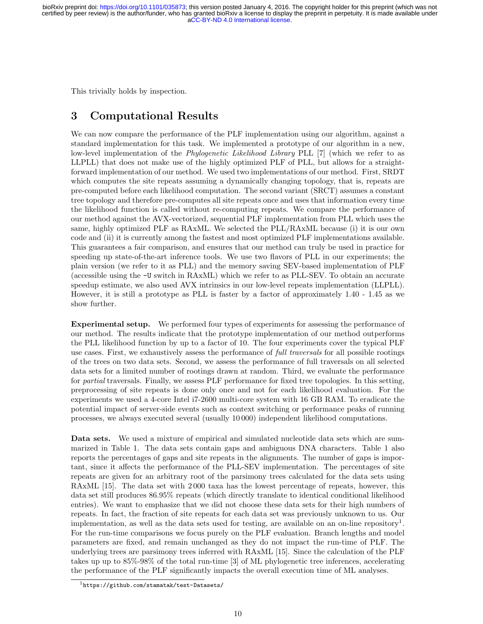This trivially holds by inspection.

# 3 Computational Results

We can now compare the performance of the PLF implementation using our algorithm, against a standard implementation for this task. We implemented a prototype of our algorithm in a new, low-level implementation of the *Phylogenetic Likelihood Library* PLL [7] (which we refer to as LLPLL) that does not make use of the highly optimized PLF of PLL, but allows for a straightforward implementation of our method. We used two implementations of our method. First, SRDT which computes the site repeats assuming a dynamically changing topology, that is, repeats are pre-computed before each likelihood computation. The second variant (SRCT) assumes a constant tree topology and therefore pre-computes all site repeats once and uses that information every time the likelihood function is called without re-computing repeats. We compare the performance of our method against the AVX-vectorized, sequential PLF implementation from PLL which uses the same, highly optimized PLF as RAxML. We selected the PLL/RAxML because (i) it is our own code and (ii) it is currently among the fastest and most optimized PLF implementations available. This guarantees a fair comparison, and ensures that our method can truly be used in practice for speeding up state-of-the-art inference tools. We use two flavors of PLL in our experiments; the plain version (we refer to it as PLL) and the memory saving SEV-based implementation of PLF (accessible using the -U switch in RAxML) which we refer to as PLL-SEV. To obtain an accurate speedup estimate, we also used AVX intrinsics in our low-level repeats implementation (LLPLL). However, it is still a prototype as PLL is faster by a factor of approximately 1.40 - 1.45 as we show further.

Experimental setup. We performed four types of experiments for assessing the performance of our method. The results indicate that the prototype implementation of our method outperforms the PLL likelihood function by up to a factor of 10. The four experiments cover the typical PLF use cases. First, we exhaustively assess the performance of full traversals for all possible rootings of the trees on two data sets. Second, we assess the performance of full traversals on all selected data sets for a limited number of rootings drawn at random. Third, we evaluate the performance for partial traversals. Finally, we assess PLF performance for fixed tree topologies. In this setting, preprocessing of site repeats is done only once and not for each likelihood evaluation. For the experiments we used a 4-core Intel i7-2600 multi-core system with 16 GB RAM. To eradicate the potential impact of server-side events such as context switching or performance peaks of running processes, we always executed several (usually 10 000) independent likelihood computations.

Data sets. We used a mixture of empirical and simulated nucleotide data sets which are summarized in Table 1. The data sets contain gaps and ambiguous DNA characters. Table 1 also reports the percentages of gaps and site repeats in the alignments. The number of gaps is important, since it affects the performance of the PLL-SEV implementation. The percentages of site repeats are given for an arbitrary root of the parsimony trees calculated for the data sets using RAxML [15]. The data set with 2 000 taxa has the lowest percentage of repeats, however, this data set still produces 86.95% repeats (which directly translate to identical conditional likelihood entries). We want to emphasize that we did not choose these data sets for their high numbers of repeats. In fact, the fraction of site repeats for each data set was previously unknown to us. Our implementation, as well as the data sets used for testing, are available on an on-line repository<sup>1</sup>. For the run-time comparisons we focus purely on the PLF evaluation. Branch lengths and model parameters are fixed, and remain unchanged as they do not impact the run-time of PLF. The underlying trees are parsimony trees inferred with RAxML [15]. Since the calculation of the PLF takes up up to 85%-98% of the total run-time [3] of ML phylogenetic tree inferences, accelerating the performance of the PLF significantly impacts the overall execution time of ML analyses.

<sup>1</sup>https://github.com/stamatak/test-Datasets/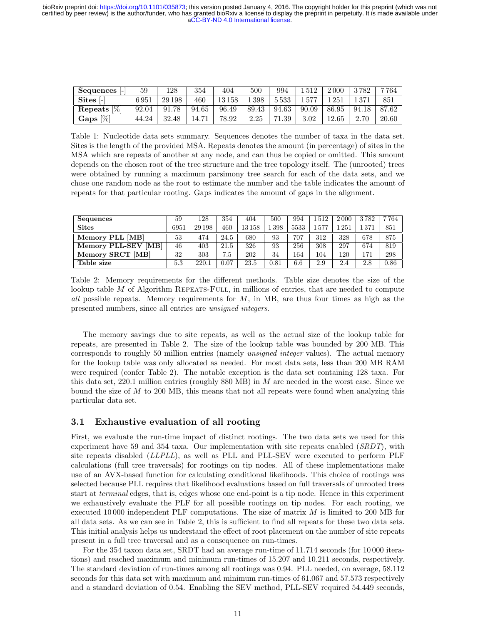| Sequences                | 59       | 128         | 354            | 404       | 500   | 994        | .512  | 2000  | 3782  | 7 764 |
|--------------------------|----------|-------------|----------------|-----------|-------|------------|-------|-------|-------|-------|
| $\textbf{Sites}$ [-]     | $6\,951$ | 29 1 98     | 460            | $13\,158$ | 1398  | 5533       | 1577  | 251   | 1 371 | 851   |
| $\frac{1}{2}$<br>Repeats | 92.04    | .78<br>91.7 | 94.65          | 96.49     | 89.43 | 94.63      | 90.09 | 86.95 | 94.18 | 87.62 |
| $\frac{1}{2}$<br>Gaps    | 44.24    | 32.48       | $14.7^{\circ}$ | 78.92     | 2.25  | 1.39<br>71 | 3.02  | 12.65 | 2.70  | 20.60 |

Table 1: Nucleotide data sets summary. Sequences denotes the number of taxa in the data set. Sites is the length of the provided MSA. Repeats denotes the amount (in percentage) of sites in the MSA which are repeats of another at any node, and can thus be copied or omitted. This amount depends on the chosen root of the tree structure and the tree topology itself. The (unrooted) trees were obtained by running a maximum parsimony tree search for each of the data sets, and we chose one random node as the root to estimate the number and the table indicates the amount of repeats for that particular rooting. Gaps indicates the amount of gaps in the alignment.

| Sequences           | 59   | 128    | 354  | 404       | 500  | 994  | 1512 | 2000       | 3782 | 7764 |
|---------------------|------|--------|------|-----------|------|------|------|------------|------|------|
| <b>Sites</b>        | 6951 | 29 198 | 460  | $13\,158$ | .398 | 5533 | 1577 | 251        | -371 | 851  |
| Memory PLL [MB]     | 53   | 474    | 24.5 | 680       | 93   | 707  | 312  | 328        | 678  | 875  |
| Memory PLL-SEV [MB] | 46   | 403    | 21.5 | 326       | 93   | 256  | 308  | 297        | 674  | 819  |
| Memory SRCT [MB]    | 32   | 303    | 7.5  | 202       | 34   | 164  | 104  | $120^{-1}$ | 171  | 298  |
| Table size          | 5.3  | 220.1  | 0.07 | 23.5      | 0.81 | 6.6  | 2.9  | 2.4        | 2.8  | 0.86 |

Table 2: Memory requirements for the different methods. Table size denotes the size of the lookup table  $M$  of Algorithm REPEATS-FULL, in millions of entries, that are needed to compute all possible repeats. Memory requirements for  $M$ , in MB, are thus four times as high as the presented numbers, since all entries are unsigned integers.

The memory savings due to site repeats, as well as the actual size of the lookup table for repeats, are presented in Table 2. The size of the lookup table was bounded by 200 MB. This corresponds to roughly 50 million entries (namely unsigned integer values). The actual memory for the lookup table was only allocated as needed. For most data sets, less than 200 MB RAM were required (confer Table 2). The notable exception is the data set containing 128 taxa. For this data set,  $220.1$  million entries (roughly  $880$  MB) in  $M$  are needed in the worst case. Since we bound the size of  $M$  to 200 MB, this means that not all repeats were found when analyzing this particular data set.

### 3.1 Exhaustive evaluation of all rooting

First, we evaluate the run-time impact of distinct rootings. The two data sets we used for this experiment have 59 and 354 taxa. Our implementation with site repeats enabled  $(SRDT)$ , with site repeats disabled (LLPLL), as well as PLL and PLL-SEV were executed to perform PLF calculations (full tree traversals) for rootings on tip nodes. All of these implementations make use of an AVX-based function for calculating conditional likelihoods. This choice of rootings was selected because PLL requires that likelihood evaluations based on full traversals of unrooted trees start at *terminal* edges, that is, edges whose one end-point is a tip node. Hence in this experiment we exhaustively evaluate the PLF for all possible rootings on tip nodes. For each rooting, we executed 10000 independent PLF computations. The size of matrix  $M$  is limited to 200 MB for all data sets. As we can see in Table 2, this is sufficient to find all repeats for these two data sets. This initial analysis helps us understand the effect of root placement on the number of site repeats present in a full tree traversal and as a consequence on run-times.

For the 354 taxon data set, SRDT had an average run-time of 11.714 seconds (for 10 000 iterations) and reached maximum and minimum run-times of 15.207 and 10.211 seconds, respectively. The standard deviation of run-times among all rootings was 0.94. PLL needed, on average, 58.112 seconds for this data set with maximum and minimum run-times of 61.067 and 57.573 respectively and a standard deviation of 0.54. Enabling the SEV method, PLL-SEV required 54.449 seconds,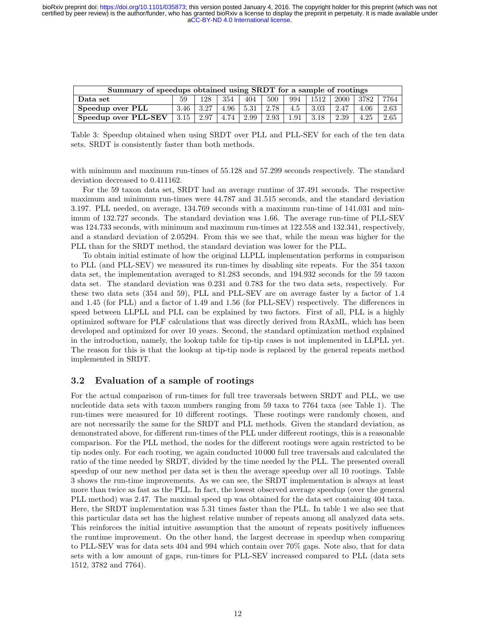certified by peer review) is the author/funder, who has granted bioRxiv a license to display the preprint in perpetuity. It is made available under<br>[aCC-BY-ND 4.0 International license.](http://creativecommons.org/licenses/by-nd/4.0/) bioRxiv preprint doi: [https://doi.org/10.1101/035873;](https://doi.org/10.1101/035873) this version posted January 4, 2016. The copyright holder for this preprint (which was not

| Summary of speedups obtained using SRDT for a sample of rootings |      |      |      |      |      |      |         |      |      |      |  |
|------------------------------------------------------------------|------|------|------|------|------|------|---------|------|------|------|--|
| Data set                                                         | 59   | 128  | 354  | 404  | 500  | 994  | -1512 l | 2000 | 3782 | 7764 |  |
| Speedup over PLL                                                 | 3.46 | 3.27 | 4.96 | 5.31 | 2.78 | 4.5  | 3.03    | 2.47 | 4.06 | 2.63 |  |
| Speedup over PLL-SEV                                             | 3.15 | 2.97 | 4.74 | 2.99 | 2.93 | 1.91 | 3.18    | 2.39 | 4.25 | 2.65 |  |

Table 3: Speedup obtained when using SRDT over PLL and PLL-SEV for each of the ten data sets. SRDT is consistently faster than both methods.

with minimum and maximum run-times of 55.128 and 57.299 seconds respectively. The standard deviation decreased to 0.411162.

For the 59 taxon data set, SRDT had an average runtime of 37.491 seconds. The respective maximum and minimum run-times were 44.787 and 31.515 seconds, and the standard deviation 3.197. PLL needed, on average, 134.769 seconds with a maximum run-time of 141.031 and minimum of 132.727 seconds. The standard deviation was 1.66. The average run-time of PLL-SEV was 124.733 seconds, with minimum and maximum run-times at 122.558 and 132.341, respectively, and a standard deviation of 2.05294. From this we see that, while the mean was higher for the PLL than for the SRDT method, the standard deviation was lower for the PLL.

To obtain initial estimate of how the original LLPLL implementation performs in comparison to PLL (and PLL-SEV) we measured its run-times by disabling site repeats. For the 354 taxon data set, the implementation averaged to 81.283 seconds, and 194.932 seconds for the 59 taxon data set. The standard deviation was 0.231 and 0.783 for the two data sets, respectively. For these two data sets (354 and 59), PLL and PLL-SEV are on average faster by a factor of 1.4 and 1.45 (for PLL) and a factor of 1.49 and 1.56 (for PLL-SEV) respectively. The differences in speed between LLPLL and PLL can be explained by two factors. First of all, PLL is a highly optimized software for PLF calculations that was directly derived from RAxML, which has been developed and optimized for over 10 years. Second, the standard optimization method explained in the introduction, namely, the lookup table for tip-tip cases is not implemented in LLPLL yet. The reason for this is that the lookup at tip-tip node is replaced by the general repeats method implemented in SRDT.

### 3.2 Evaluation of a sample of rootings

For the actual comparison of run-times for full tree traversals between SRDT and PLL, we use nucleotide data sets with taxon numbers ranging from 59 taxa to 7764 taxa (see Table 1). The run-times were measured for 10 different rootings. These rootings were randomly chosen, and are not necessarily the same for the SRDT and PLL methods. Given the standard deviation, as demonstrated above, for different run-times of the PLL under different rootings, this is a reasonable comparison. For the PLL method, the nodes for the different rootings were again restricted to be tip nodes only. For each rooting, we again conducted 10 000 full tree traversals and calculated the ratio of the time needed by SRDT, divided by the time needed by the PLL. The presented overall speedup of our new method per data set is then the average speedup over all 10 rootings. Table 3 shows the run-time improvements. As we can see, the SRDT implementation is always at least more than twice as fast as the PLL. In fact, the lowest observed average speedup (over the general PLL method) was 2.47. The maximal speed up was obtained for the data set containing 404 taxa. Here, the SRDT implementation was 5.31 times faster than the PLL. In table 1 we also see that this particular data set has the highest relative number of repeats among all analyzed data sets. This reinforces the initial intuitive assumption that the amount of repeats positively influences the runtime improvement. On the other hand, the largest decrease in speedup when comparing to PLL-SEV was for data sets 404 and 994 which contain over 70% gaps. Note also, that for data sets with a low amount of gaps, run-times for PLL-SEV increased compared to PLL (data sets 1512, 3782 and 7764).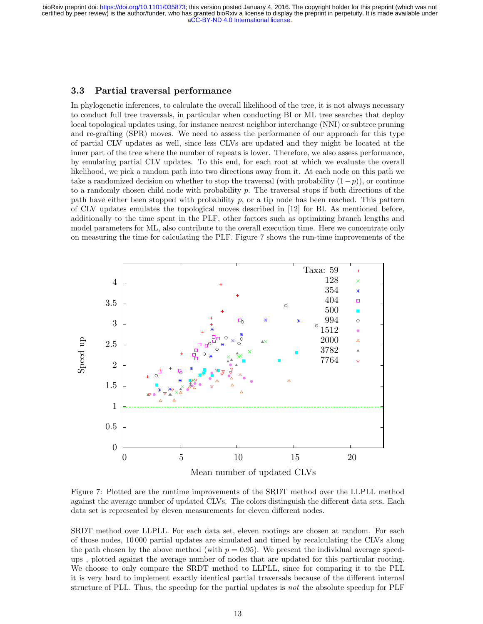### 3.3 Partial traversal performance

In phylogenetic inferences, to calculate the overall likelihood of the tree, it is not always necessary to conduct full tree traversals, in particular when conducting BI or ML tree searches that deploy local topological updates using, for instance nearest neighbor interchange (NNI) or subtree pruning and re-grafting (SPR) moves. We need to assess the performance of our approach for this type of partial CLV updates as well, since less CLVs are updated and they might be located at the inner part of the tree where the number of repeats is lower. Therefore, we also assess performance, by emulating partial CLV updates. To this end, for each root at which we evaluate the overall likelihood, we pick a random path into two directions away from it. At each node on this path we take a randomized decision on whether to stop the traversal (with probability  $(1-p)$ ), or continue to a randomly chosen child node with probability  $p$ . The traversal stops if both directions of the path have either been stopped with probability  $p$ , or a tip node has been reached. This pattern of CLV updates emulates the topological moves described in [12] for BI. As mentioned before, additionally to the time spent in the PLF, other factors such as optimizing branch lengths and model parameters for ML, also contribute to the overall execution time. Here we concentrate only on measuring the time for calculating the PLF. Figure 7 shows the run-time improvements of the



Figure 7: Plotted are the runtime improvements of the SRDT method over the LLPLL method against the average number of updated CLVs. The colors distinguish the different data sets. Each data set is represented by eleven measurements for eleven different nodes.

SRDT method over LLPLL. For each data set, eleven rootings are chosen at random. For each of those nodes, 10 000 partial updates are simulated and timed by recalculating the CLVs along the path chosen by the above method (with  $p = 0.95$ ). We present the individual average speedups , plotted against the average number of nodes that are updated for this particular rooting. We choose to only compare the SRDT method to LLPLL, since for comparing it to the PLL it is very hard to implement exactly identical partial traversals because of the different internal structure of PLL. Thus, the speedup for the partial updates is not the absolute speedup for PLF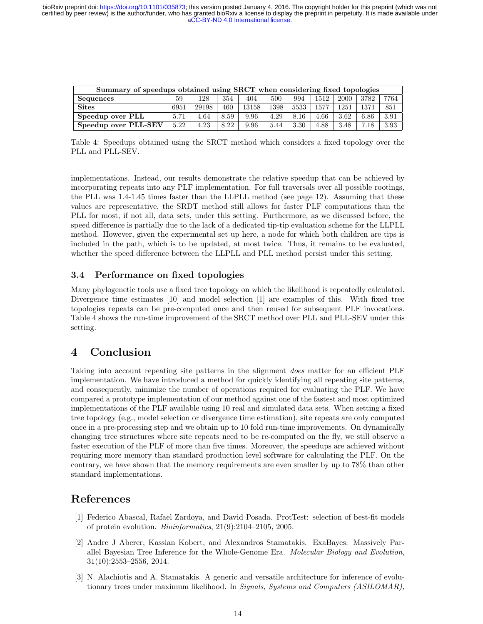certified by peer review) is the author/funder, who has granted bioRxiv a license to display the preprint in perpetuity. It is made available under<br>[aCC-BY-ND 4.0 International license.](http://creativecommons.org/licenses/by-nd/4.0/) bioRxiv preprint doi: [https://doi.org/10.1101/035873;](https://doi.org/10.1101/035873) this version posted January 4, 2016. The copyright holder for this preprint (which was not

| Summary of speedups obtained using SRCT when considering fixed topologies         |      |       |      |       |      |      |      |      |      |      |  |
|-----------------------------------------------------------------------------------|------|-------|------|-------|------|------|------|------|------|------|--|
| <b>Sequences</b><br>354<br>3782<br>500<br>994<br>1512<br>2000<br>128<br>404<br>59 |      |       |      |       |      |      | 7764 |      |      |      |  |
| <b>Sites</b>                                                                      | 6951 | 29198 | 460  | 13158 | 1398 | 5533 | 1577 | 1251 | 1371 | 851  |  |
| Speedup over PLL                                                                  | 5.71 | 4.64  | 8.59 | 9.96  | 4.29 | 8.16 | 4.66 | 3.62 | 6.86 | 3.91 |  |
| Speedup over PLL-SEV                                                              | 5.22 | 4.23  | 8.22 | 9.96  | 5.44 | 3.30 | 4.88 | 3.48 | 7.18 | 3.93 |  |

Table 4: Speedups obtained using the SRCT method which considers a fixed topology over the PLL and PLL-SEV.

implementations. Instead, our results demonstrate the relative speedup that can be achieved by incorporating repeats into any PLF implementation. For full traversals over all possible rootings, the PLL was 1.4-1.45 times faster than the LLPLL method (see page 12). Assuming that these values are representative, the SRDT method still allows for faster PLF computations than the PLL for most, if not all, data sets, under this setting. Furthermore, as we discussed before, the speed difference is partially due to the lack of a dedicated tip-tip evaluation scheme for the LLPLL method. However, given the experimental set up here, a node for which both children are tips is included in the path, which is to be updated, at most twice. Thus, it remains to be evaluated, whether the speed difference between the LLPLL and PLL method persist under this setting.

### 3.4 Performance on fixed topologies

Many phylogenetic tools use a fixed tree topology on which the likelihood is repeatedly calculated. Divergence time estimates [10] and model selection [1] are examples of this. With fixed tree topologies repeats can be pre-computed once and then reused for subsequent PLF invocations. Table 4 shows the run-time improvement of the SRCT method over PLL and PLL-SEV under this setting.

# 4 Conclusion

Taking into account repeating site patterns in the alignment does matter for an efficient PLF implementation. We have introduced a method for quickly identifying all repeating site patterns, and consequently, minimize the number of operations required for evaluating the PLF. We have compared a prototype implementation of our method against one of the fastest and most optimized implementations of the PLF available using 10 real and simulated data sets. When setting a fixed tree topology (e.g., model selection or divergence time estimation), site repeats are only computed once in a pre-processing step and we obtain up to 10 fold run-time improvements. On dynamically changing tree structures where site repeats need to be re-computed on the fly, we still observe a faster execution of the PLF of more than five times. Moreover, the speedups are achieved without requiring more memory than standard production level software for calculating the PLF. On the contrary, we have shown that the memory requirements are even smaller by up to 78% than other standard implementations.

### References

- [1] Federico Abascal, Rafael Zardoya, and David Posada. ProtTest: selection of best-fit models of protein evolution. Bioinformatics, 21(9):2104–2105, 2005.
- [2] Andre J Aberer, Kassian Kobert, and Alexandros Stamatakis. ExaBayes: Massively Parallel Bayesian Tree Inference for the Whole-Genome Era. Molecular Biology and Evolution, 31(10):2553–2556, 2014.
- [3] N. Alachiotis and A. Stamatakis. A generic and versatile architecture for inference of evolutionary trees under maximum likelihood. In Signals, Systems and Computers (ASILOMAR),